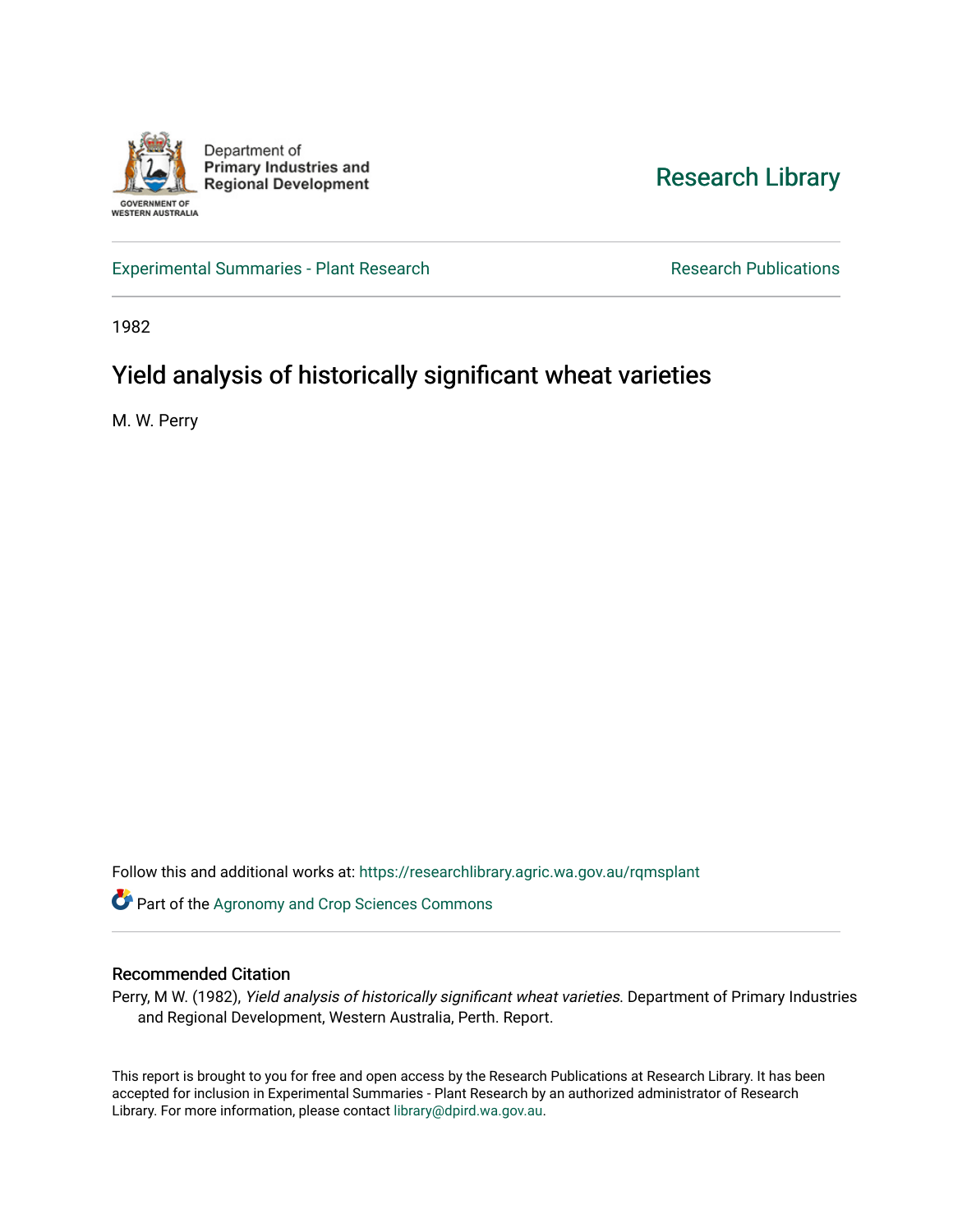

[Research Library](https://researchlibrary.agric.wa.gov.au/) 

[Experimental Summaries - Plant Research](https://researchlibrary.agric.wa.gov.au/rqmsplant) **Research Research Rublications** Research Publications

1982

# Yield analysis of historically significant wheat varieties

M. W. Perry

Follow this and additional works at: [https://researchlibrary.agric.wa.gov.au/rqmsplant](https://researchlibrary.agric.wa.gov.au/rqmsplant?utm_source=researchlibrary.agric.wa.gov.au%2Frqmsplant%2F387&utm_medium=PDF&utm_campaign=PDFCoverPages) 

Part of the [Agronomy and Crop Sciences Commons](http://network.bepress.com/hgg/discipline/103?utm_source=researchlibrary.agric.wa.gov.au%2Frqmsplant%2F387&utm_medium=PDF&utm_campaign=PDFCoverPages) 

# Recommended Citation

Perry, M W. (1982), Yield analysis of historically significant wheat varieties. Department of Primary Industries and Regional Development, Western Australia, Perth. Report.

This report is brought to you for free and open access by the Research Publications at Research Library. It has been accepted for inclusion in Experimental Summaries - Plant Research by an authorized administrator of Research Library. For more information, please contact [library@dpird.wa.gov.au.](mailto:library@dpird.wa.gov.au)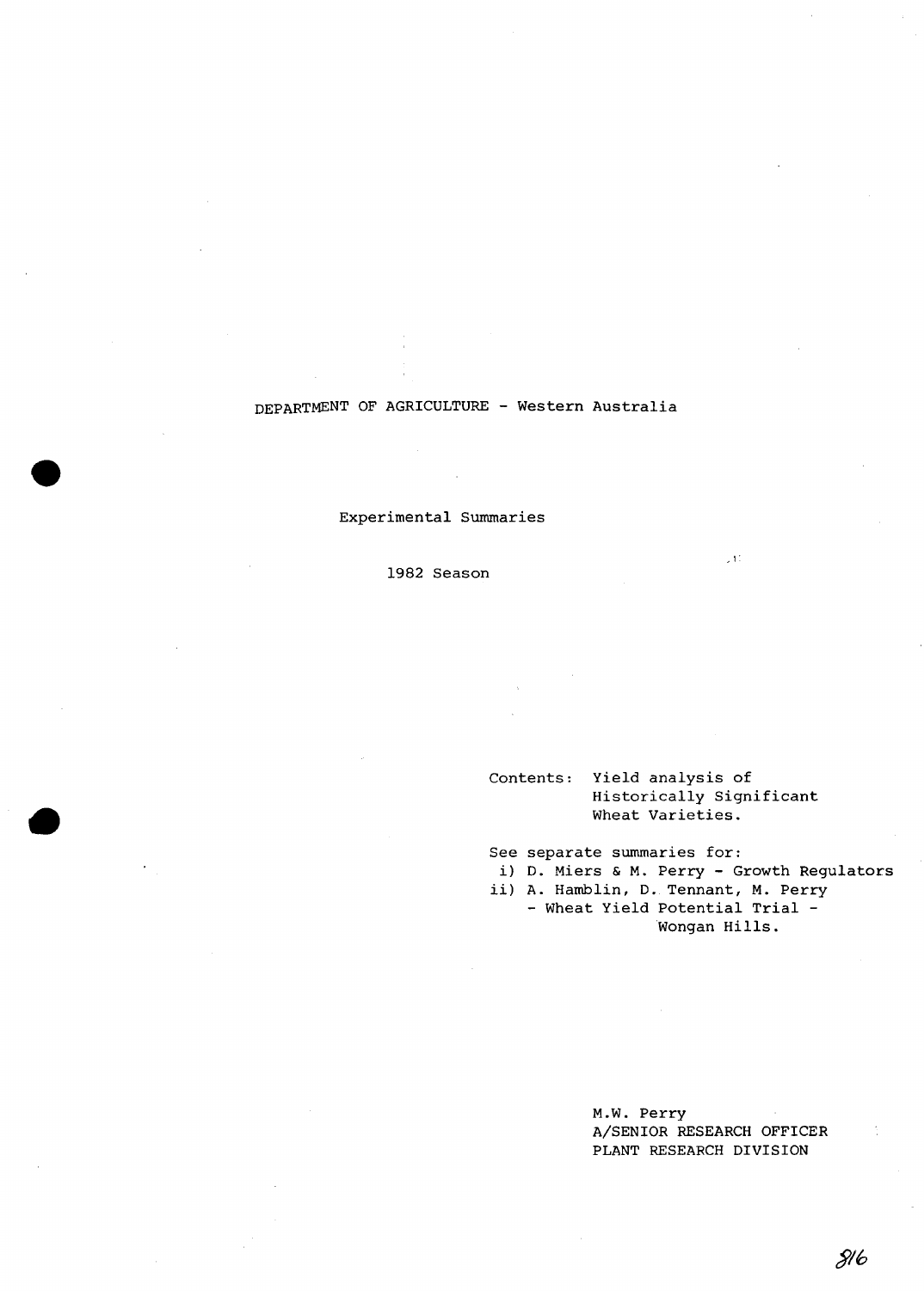# DEPARTMENT OF AGRICULTURE - Western Australia

Experimental Summaries

1982 Season

# Contents: Yield analysis of Historically Significant Wheat Varieties.

See separate summaries for:

i) D. Miers & M. Perry - Growth Regulators

,1'

ii) A. Hamblin, D. Tennant, M. Perry - Wheat Yield Potential Trial - Wongan Hills.

> M.W. Perry A/SENIOR RESEARCH OFFICER PLANT RESEARCH DIVISION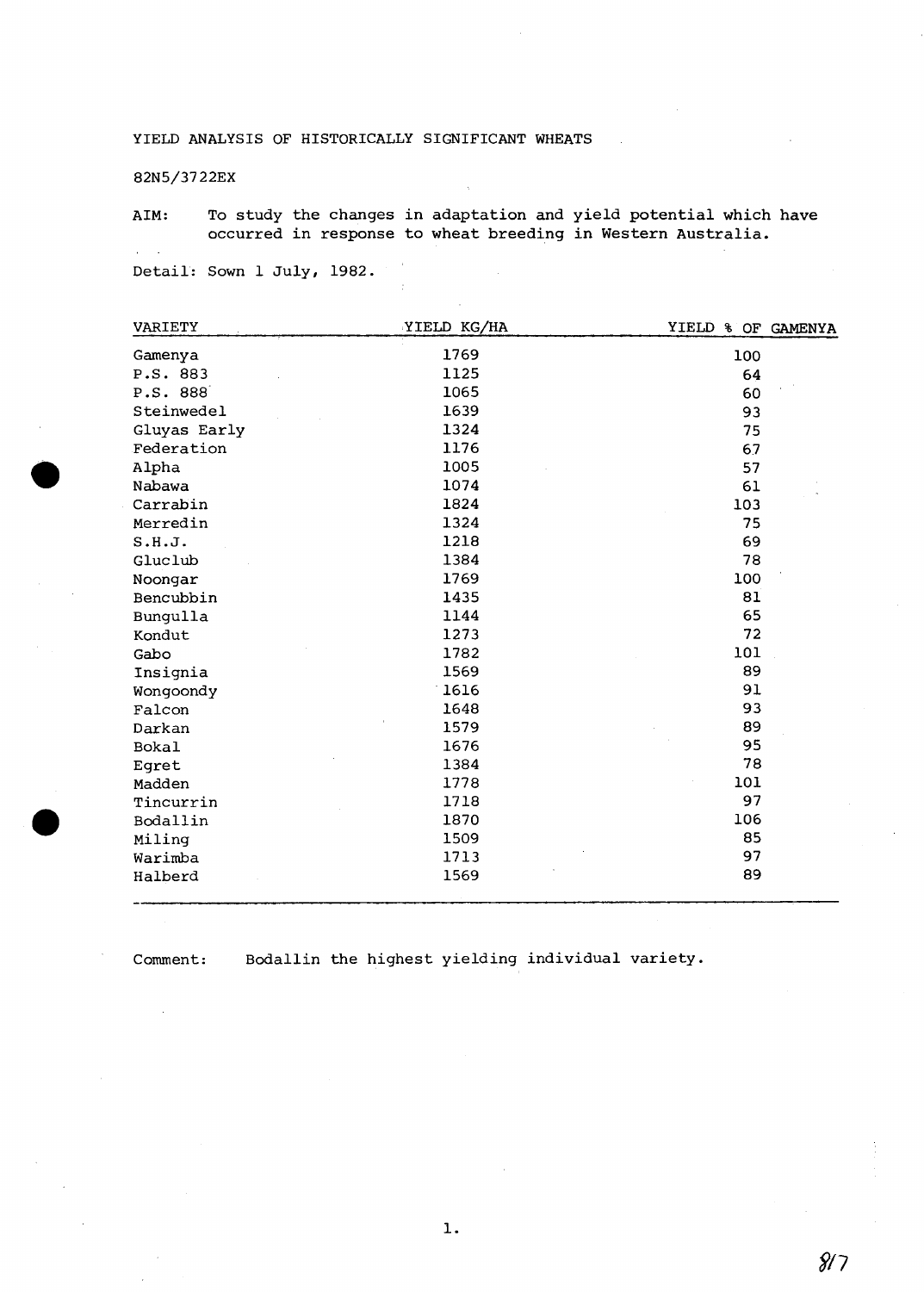## 82N5/3722EX

 $\mathcal{L}^{\pm}$  $\mathcal{A}$ 

e

AIM: To study the changes in adaptation and yield potential which have occurred in response to wheat breeding in Western Australia.

Detail: Sown 1 July, 1982.

| VARIETY      | YIELD KG/HA | YIELD % OF GAMENYA |
|--------------|-------------|--------------------|
| Gamenya      | 1769        | 100                |
| P.S. 883     | 1125        | 64                 |
| P.S. 888     | 1065        | 60                 |
| Steinwedel   | 1639        | 93                 |
| Gluyas Early | 1324        | 75                 |
| Federation   | 1176        | 67                 |
| Alpha        | 1005        | 57                 |
| Nabawa       | 1074        | 61                 |
| Carrabin     | 1824        | 103                |
| Merredin     | 1324        | 75                 |
| S.H.J.       | 1218        | 69                 |
| Gluclub      | 1384        | 78                 |
| Noongar      | 1769        | 100                |
| Bencubbin    | 1435        | 81                 |
| Bungulla     | 1144        | 65                 |
| Kondut       | 1273        | 72                 |
| Gabo         | 1782        | 101                |
| Insignia     | 1569        | 89                 |
| Wongoondy    | 1616        | 91                 |
| Falcon       | 1648        | 93                 |
| Darkan       | 1579        | 89                 |
| <b>Bokal</b> | 1676        | 95                 |
| Eqret        | 1384        | 78                 |
| Madden       | 1778        | 101                |
| Tincurrin    | 1718        | 97                 |
| Bodallin     | 1870        | 106                |
| Miling       | 1509        | 85                 |
| Warimba      | 1713        | 97                 |
| Halberd      | 1569        | 89                 |
|              |             |                    |

Comment: Bodallin the highest yielding individual variety.

 $8/7$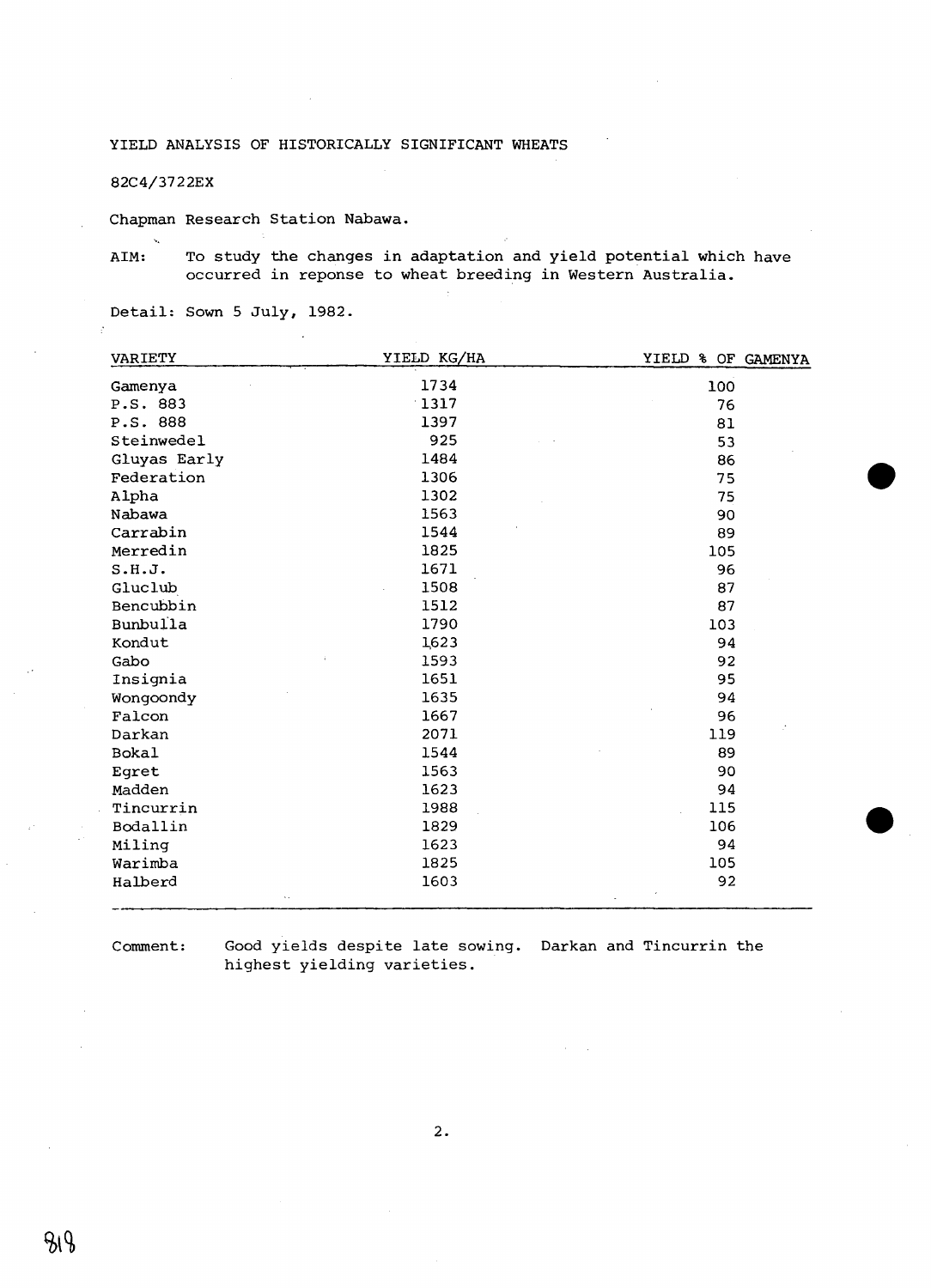82C4/3722EX

Chapman Research Station Nabawa.

ś.

AIM: To study the changes in adaptation and yield potential which have occurred in reponse to wheat breeding in Western Australia.

Detail: Sown 5 July, 1982.

| VARIETY      | YIELD KG/HA | YIELD % OF GAMENYA |
|--------------|-------------|--------------------|
| Gamenya      | 1734        | 100                |
| P.S. 883     | 1317        | 76                 |
| P.S. 888     | 1397        | 81                 |
| Steinwedel   | 925         | 53                 |
| Gluyas Early | 1484        | 86                 |
| Federation   | 1306        | 75                 |
| Alpha        | 1302        | 75                 |
| Nabawa       | 1563        | 90                 |
| Carrabin     | 1544        | 89                 |
| Merredin     | 1825        | 105                |
| S.H.J.       | 1671        | 96                 |
| Gluclub      | 1508        | 87                 |
| Bencubbin    | 1512        | 87                 |
| Bunbulla     | 1790        | 103                |
| Kondut       | 1623        | 94                 |
| Gabo         | 1593        | 92                 |
| Insignia     | 1651        | 95                 |
| Wongoondy    | 1635        | 94                 |
| Falcon       | 1667        | 96                 |
| Darkan       | 2071        | 119                |
| <b>Bokal</b> | 1544        | 89                 |
| Eqret        | 1563        | 90                 |
| Madden       | 1623        | 94                 |
| Tincurrin    | 1988        | 115                |
| Bodallin     | 1829        | 106                |
| Miling       | 1623        | 94                 |
| Warimba      | 1825        | 105                |
| Halberd      | 1603        | 92                 |
| k ki         |             |                    |

Comment:

Good yields despite late sowing. Darkan and Tincurrin the highest yielding varieties.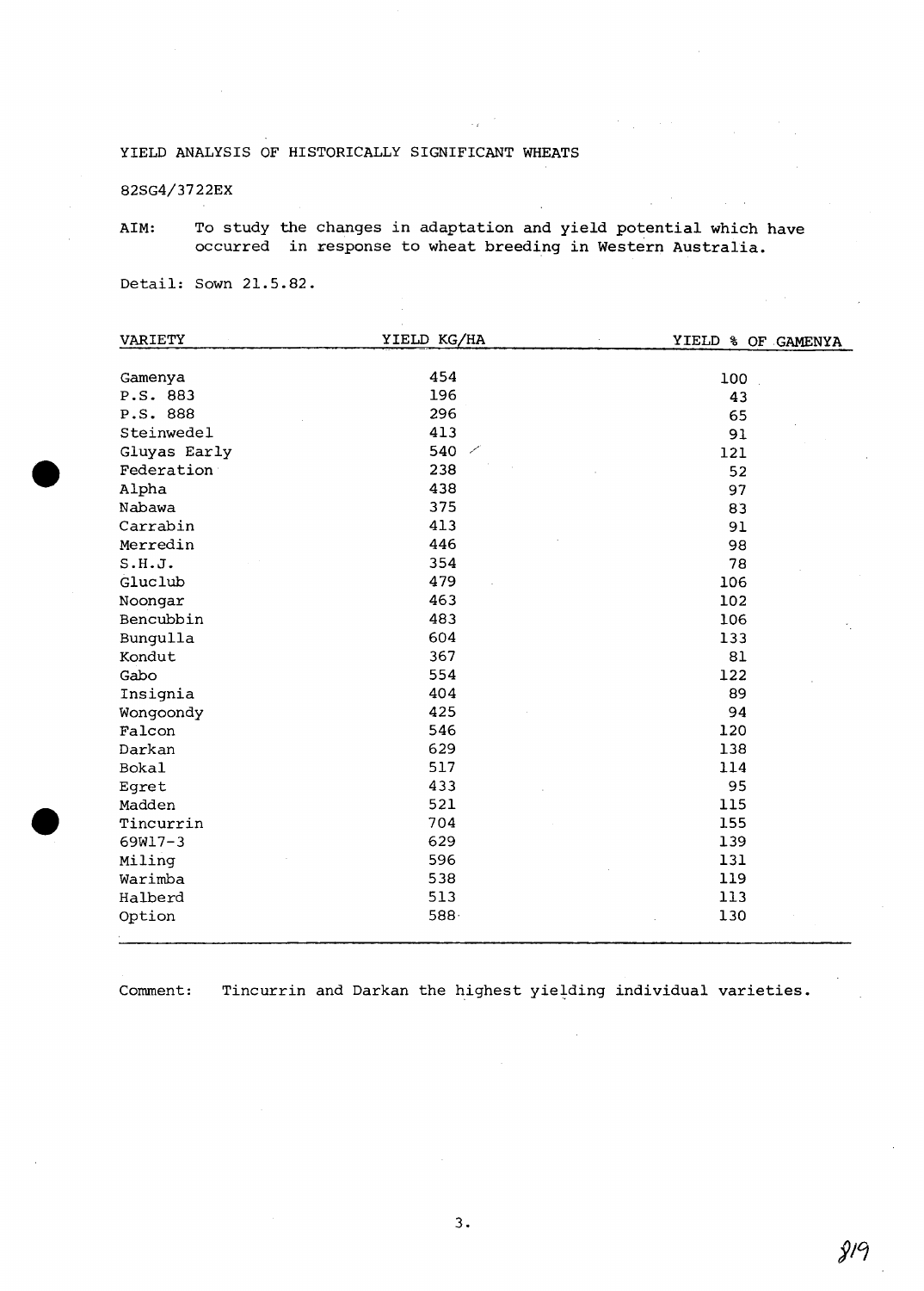82SG4/3722EX

AIM: To study the changes in adaptation and yield potential which have occurred in response to wheat breeding in Western Australia.

Detail: Sown 21.5.82.

| VARIETY                    | YIELD KG/HA      | YIELD & OF GAMENYA |
|----------------------------|------------------|--------------------|
| Gamenya                    | 454              | 100                |
| P.S. 883                   | 196              | 43                 |
| P.S. 888                   | 296              |                    |
| Steinwedel                 | 413              | 65<br>91           |
|                            | 540 $\times$     |                    |
| Gluyas Early<br>Federation | 238              | 121                |
|                            | 438              | 52                 |
| Alpha                      |                  | 97                 |
| Nabawa                     | 375              | 83                 |
| Carrabin                   | 413              | 91                 |
| Merredin                   | 446              | 98                 |
| S.H.J.                     | 354              | 78                 |
| Gluclub                    | 479              | 106                |
| Noongar                    | 463              | 102                |
| Bencubbin                  | 483              | 106                |
| Bungulla                   | 604              | 133                |
| Kondut                     | 367              | 81                 |
| Gabo                       | 554              | 122                |
| Insignia                   | 404              | 89                 |
| Wongoondy                  | 425              | 94                 |
| Falcon                     | 546              | 120                |
| Darkan                     | 629              | 138                |
| <b>Bokal</b>               | 517              | 114                |
| Egret                      | 433              | 95                 |
| Madden                     | 521              | 115                |
| Tincurrin                  | 704              | 155                |
| 69W17-3                    | 629              | 139                |
| Miling                     | 596              | 131                |
| Warimba                    | 538              | 119                |
| Halberd                    | 513              | 113                |
| Option                     | 588 <sub>1</sub> | 130                |
|                            |                  |                    |

Comment: Tincurrin and Darkan the highest yielding individual varieties.

 $9/9$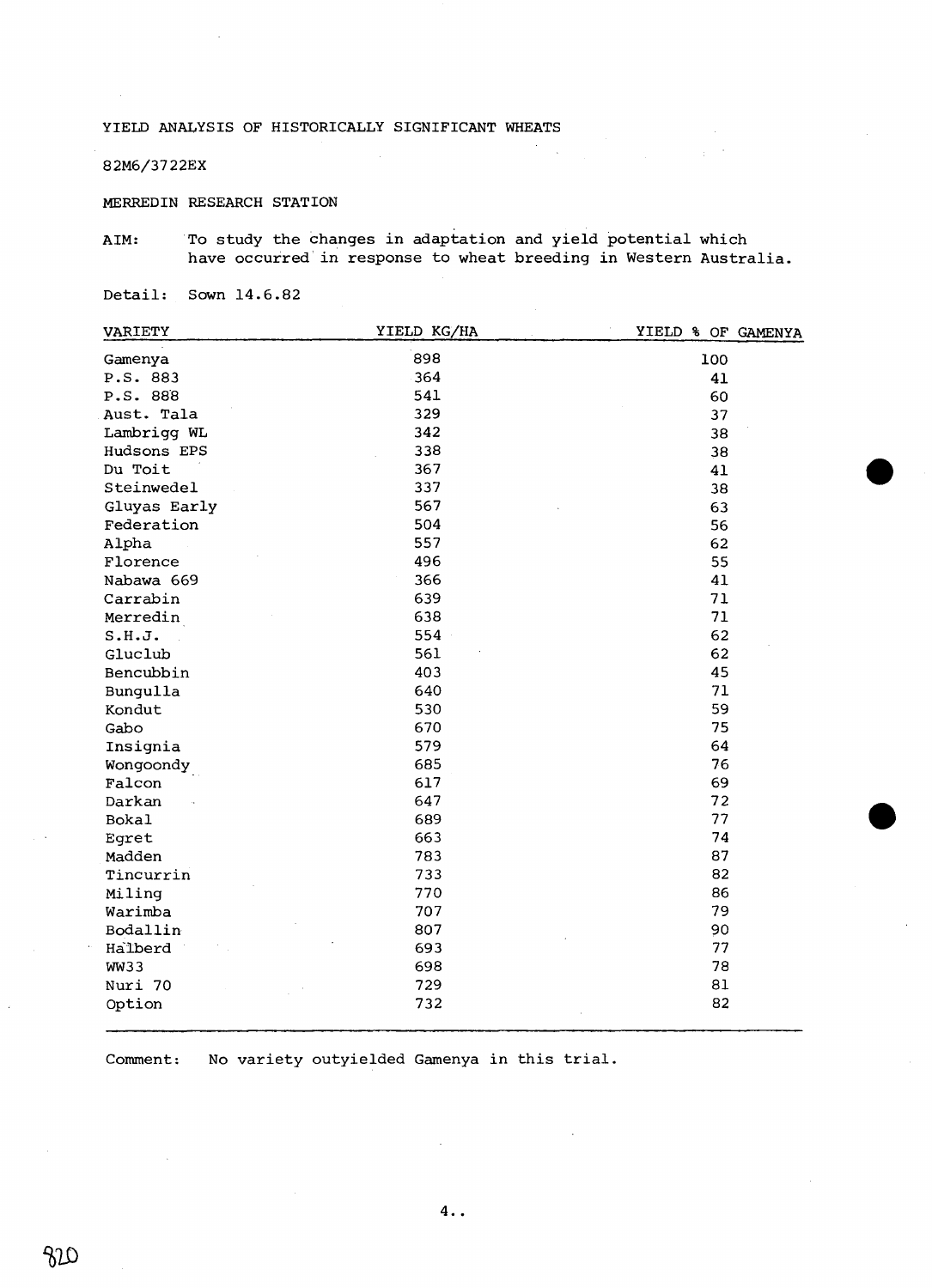### 82M6/3722EX

MERREDIN RESEARCH STATION

AIM: To study the changes in adaptation and yield potential which have occurred in response to wheat breeding in Western Australia.

 $\sim$ 

Detail: Sown 14.6.82

| <b>VARIETY</b> | YIELD KG/HA | YIELD & OF GAMENYA |
|----------------|-------------|--------------------|
| Gamenya        | 898         | 100                |
| P.S. 883       | 364         | 41                 |
| P.S. 888       | 541         | 60                 |
| Aust. Tala     | 329         | 37                 |
| Lambrigg WL    | 342         | 38                 |
| Hudsons EPS    | 338         | 38                 |
| Du Toit        | 367         | 41                 |
| Steinwedel     | 337         | 38                 |
| Gluyas Early   | 567         | 63                 |
| Federation     | 504         | 56                 |
| Alpha          | 557         | 62                 |
| Florence       | 496         | 55                 |
| Nabawa 669     | 366         | 41                 |
| Carrabin       | 639         | 71                 |
| Merredin       | 638         | 71                 |
| S.H.J.         | 554         | 62                 |
| Gluclub        | 561         | 62                 |
| Bencubbin      | 403         | 45                 |
| Bungulla       | 640         | 71                 |
| Kondut         | 530         | 59                 |
| Gabo           | 670         | 75                 |
| Insignia       | 579         | 64                 |
| Wongoondy      | 685         | 76                 |
| Falcon         | 617         | 69                 |
| Darkan         | 647         | 72                 |
| Bokal          | 689         | 77                 |
| Egret          | 663         | 74                 |
| Madden         | 783         | 87                 |
| Tincurrin      | 733         | 82                 |
| Miling         | 770         | 86                 |
| Warimba        | 707         | 79                 |
| Bodallin       | 807         | 90                 |
| Halberd        | 693         | 77                 |
| WW33           | 698         | 78                 |
| Nuri 70        | 729         | 81                 |
| Option         | 732         | 82                 |

Comment: No variety outyielded Gamenya in this trial.